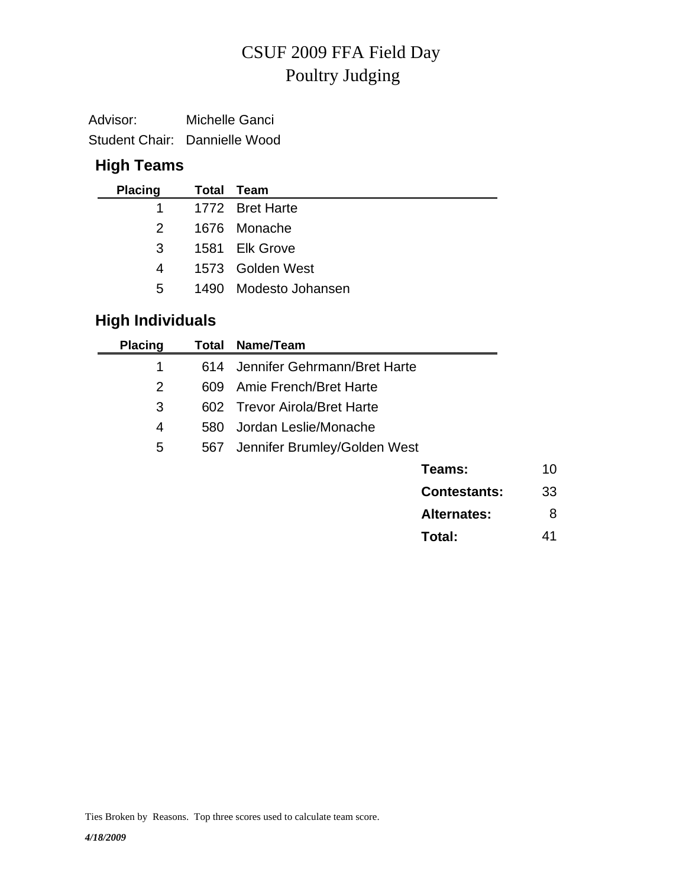# Poultry Judging CSUF 2009 FFA Field Day

| Advisor: | Michelle Ganci                |
|----------|-------------------------------|
|          | Student Chair: Dannielle Wood |

## **High Teams**

| <b>Placing</b> | <b>Total Team</b>     |
|----------------|-----------------------|
|                | 1 1772 Bret Harte     |
| $\mathcal{P}$  | 1676 Monache          |
| $\mathbf{3}$   | 1581 Elk Grove        |
| 4              | 1573 Golden West      |
| 5              | 1490 Modesto Johansen |
|                |                       |

## **High Individuals**

| <b>Placing</b> | Total | Name/Team                    |    |
|----------------|-------|------------------------------|----|
| 1              | 614   | Jennifer Gehrmann/Bret Harte |    |
| $\overline{2}$ | 609   | Amie French/Bret Harte       |    |
| 3              |       | 602 Trevor Airola/Bret Harte |    |
| 4              | 580   | Jordan Leslie/Monache        |    |
| 5              | 567   | Jennifer Brumley/Golden West |    |
|                |       | Teams:                       | 10 |
|                |       | <b>Contestants:</b>          | 33 |
|                |       | <b>Alternates:</b>           | 8  |
|                |       | Total:                       | 41 |
|                |       |                              |    |

Ties Broken by Reasons. Top three scores used to calculate team score.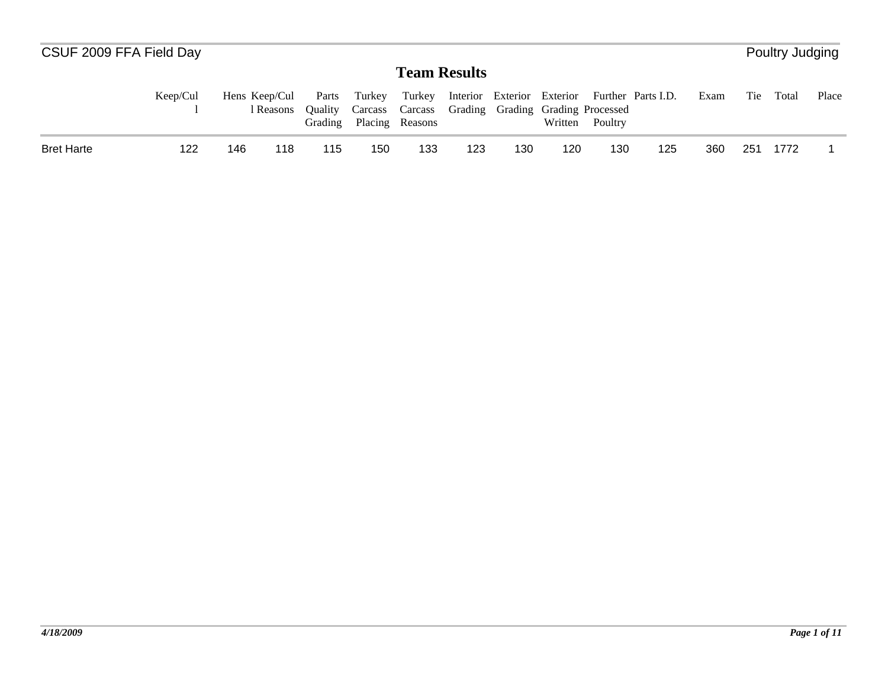| CSUF 2009 FFA Field Day |          |               |           |                             |        |                                                                                |     |                            |         |         |                    |      |     | Poultry Judging |       |
|-------------------------|----------|---------------|-----------|-----------------------------|--------|--------------------------------------------------------------------------------|-----|----------------------------|---------|---------|--------------------|------|-----|-----------------|-------|
|                         |          |               |           |                             |        | <b>Team Results</b>                                                            |     |                            |         |         |                    |      |     |                 |       |
|                         | Keep/Cul | Hens Keep/Cul | l Reasons | Parts<br>Ouality<br>Grading | Turkey | Turkey<br>Carcass Carcass Grading Grading Grading Processed<br>Placing Reasons |     | Interior Exterior Exterior | Written | Poultry | Further Parts I.D. | Exam | Tie | Total           | Place |
| <b>Bret Harte</b>       | 122      | 146           | 118       | 115                         | 150    | 133                                                                            | 123 | 130                        | 120     | 130     | 125                | 360  | 251 | 1772            |       |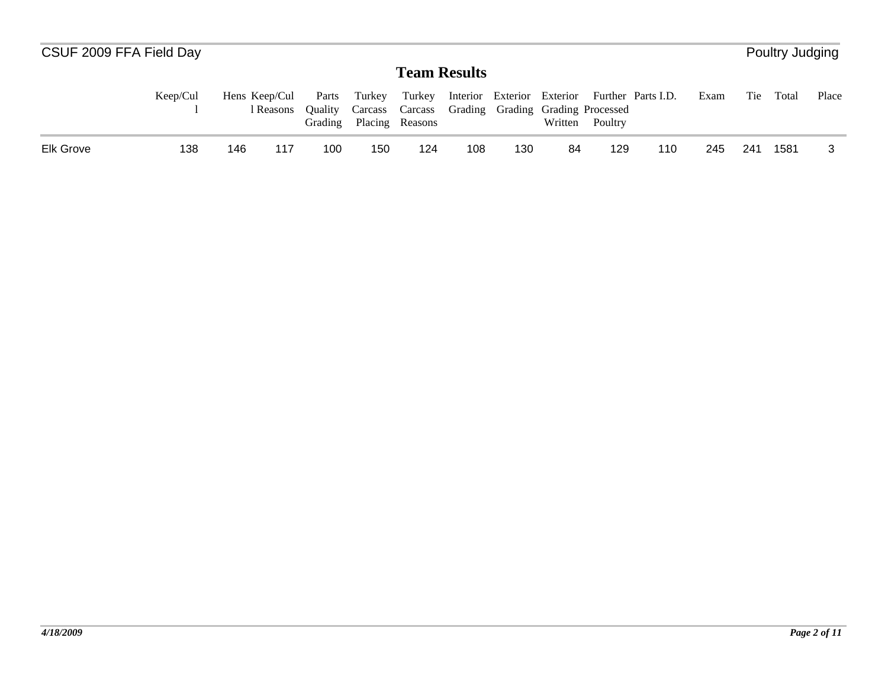| CSUF 2009 FFA Field Day |          |               |           |                             |        |                     |     |                                                   |         |         |                                                      |      |     | Poultry Judging |       |
|-------------------------|----------|---------------|-----------|-----------------------------|--------|---------------------|-----|---------------------------------------------------|---------|---------|------------------------------------------------------|------|-----|-----------------|-------|
|                         |          |               |           |                             |        | <b>Team Results</b> |     |                                                   |         |         |                                                      |      |     |                 |       |
|                         | Keep/Cul | Hens Keep/Cul | l Reasons | Parts<br>Ouality<br>Grading | Turkey | Placing Reasons     |     | Carcass Carcass Grading Grading Grading Processed | Written | Poultry | Turkey Interior Exterior Exterior Further Parts I.D. | Exam | Tie | Total           | Place |
| <b>Elk Grove</b>        | 138      | 146           | 117       | 100                         | 150    | 124                 | 108 | 130                                               | 84      | 129     | 110                                                  | 245  | 241 | 1581            |       |

*4/18/2009*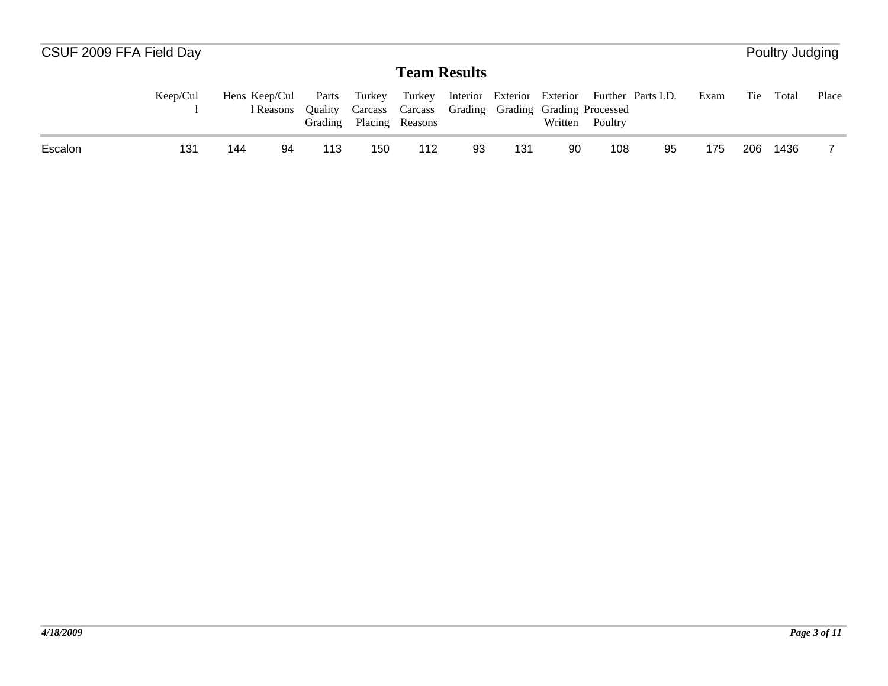| CSUF 2009 FFA Field Day |          |               |           |                                    |        |                                                                      |    |     |         |         |                                                      |      |     | Poultry Judging |       |
|-------------------------|----------|---------------|-----------|------------------------------------|--------|----------------------------------------------------------------------|----|-----|---------|---------|------------------------------------------------------|------|-----|-----------------|-------|
|                         |          |               |           |                                    |        | <b>Team Results</b>                                                  |    |     |         |         |                                                      |      |     |                 |       |
|                         | Keep/Cul | Hens Keep/Cul | l Reasons | Parts<br><b>Ouality</b><br>Grading | Turkey | Carcass Carcass Grading Grading Grading Processed<br>Placing Reasons |    |     | Written | Poultry | Turkey Interior Exterior Exterior Further Parts I.D. | Exam | Tie | Total           | Place |
| Escalon                 | 131      | 144           | 94        | 113                                | 150    | 112                                                                  | 93 | 131 | 90      | 108     | 95                                                   | 175  | 206 | 1436            |       |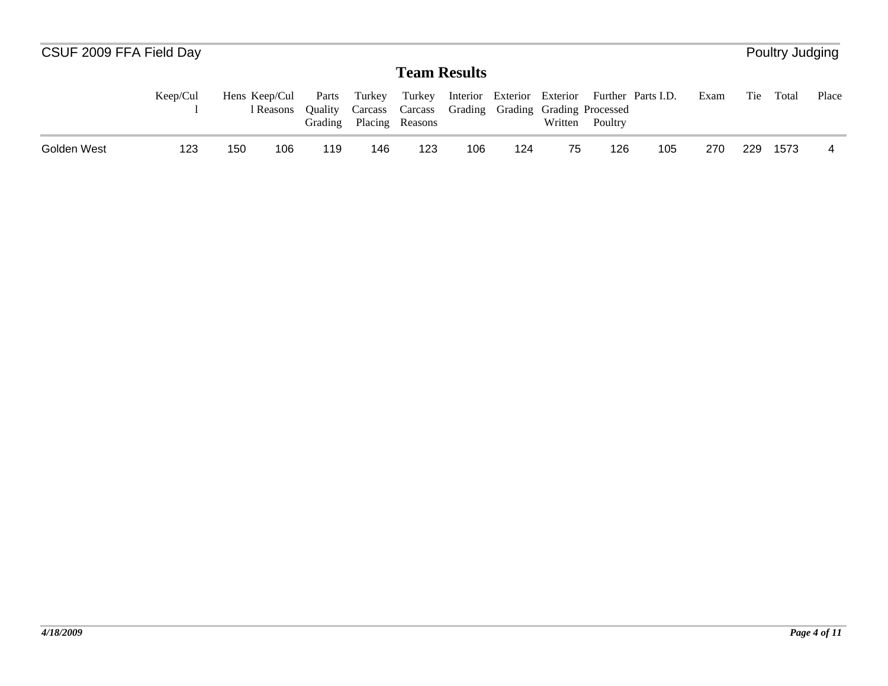|                                                                                                                                                                                                                                                                                                                                                                                                      |  |  |  |     |       |       |  |  |     | Poultry Judging |  |
|------------------------------------------------------------------------------------------------------------------------------------------------------------------------------------------------------------------------------------------------------------------------------------------------------------------------------------------------------------------------------------------------------|--|--|--|-----|-------|-------|--|--|-----|-----------------|--|
|                                                                                                                                                                                                                                                                                                                                                                                                      |  |  |  |     |       |       |  |  |     |                 |  |
| CSUF 2009 FFA Field Day<br><b>Team Results</b><br>Keep/Cul<br>Interior Exterior Exterior Further Parts I.D.<br>Parts<br>Exam<br>Hens Keep/Cul<br>Turkey<br>Turkey<br>Carcass Carcass Grading Grading Grading Processed<br>Ouality<br>l Reasons<br>Placing Reasons<br>Written<br>Grading<br>Poultry<br>106<br>105<br>Golden West<br>123<br>123<br>124<br>126<br>270<br>150<br>106<br>146<br>75<br>119 |  |  |  | Tie | Total | Place |  |  |     |                 |  |
|                                                                                                                                                                                                                                                                                                                                                                                                      |  |  |  |     |       |       |  |  | 229 | 1573            |  |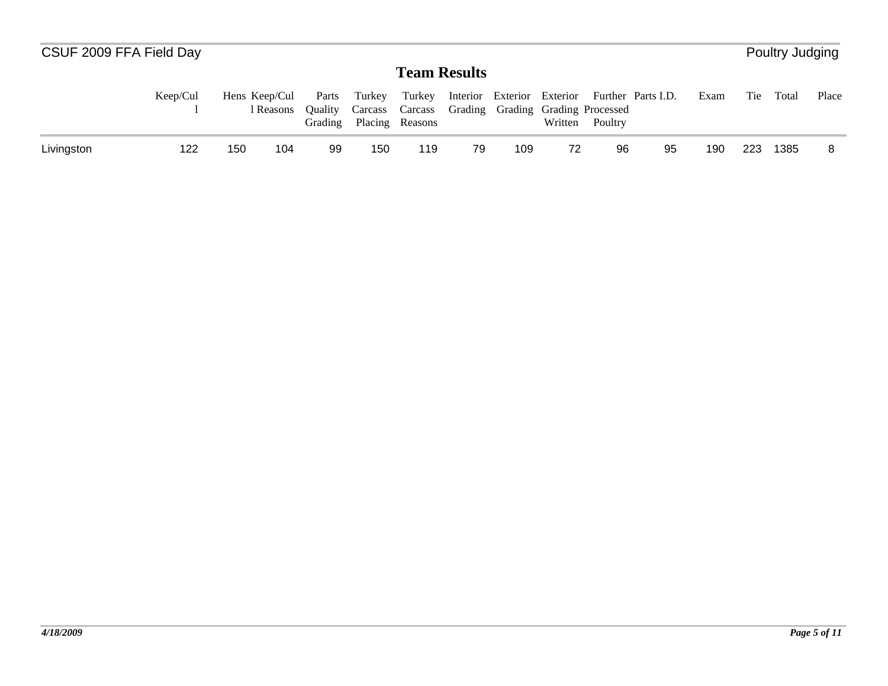| CSUF 2009 FFA Field Day |          |               |           |                             |        |                     |    |                                                   |         |         |                                                      |      |     | Poultry Judging |       |
|-------------------------|----------|---------------|-----------|-----------------------------|--------|---------------------|----|---------------------------------------------------|---------|---------|------------------------------------------------------|------|-----|-----------------|-------|
|                         |          |               |           |                             |        | <b>Team Results</b> |    |                                                   |         |         |                                                      |      |     |                 |       |
|                         | Keep/Cul | Hens Keep/Cul | l Reasons | Parts<br>Ouality<br>Grading | Turkey | Placing Reasons     |    | Carcass Carcass Grading Grading Grading Processed | Written | Poultry | Turkey Interior Exterior Exterior Further Parts I.D. | Exam | Tie | Total           | Place |
| Livingston              | 122      | 150           | 104       | -99                         | 150    | 119                 | 79 | 109                                               | 72      | 96      | 95                                                   | 190  | 223 | 1385            |       |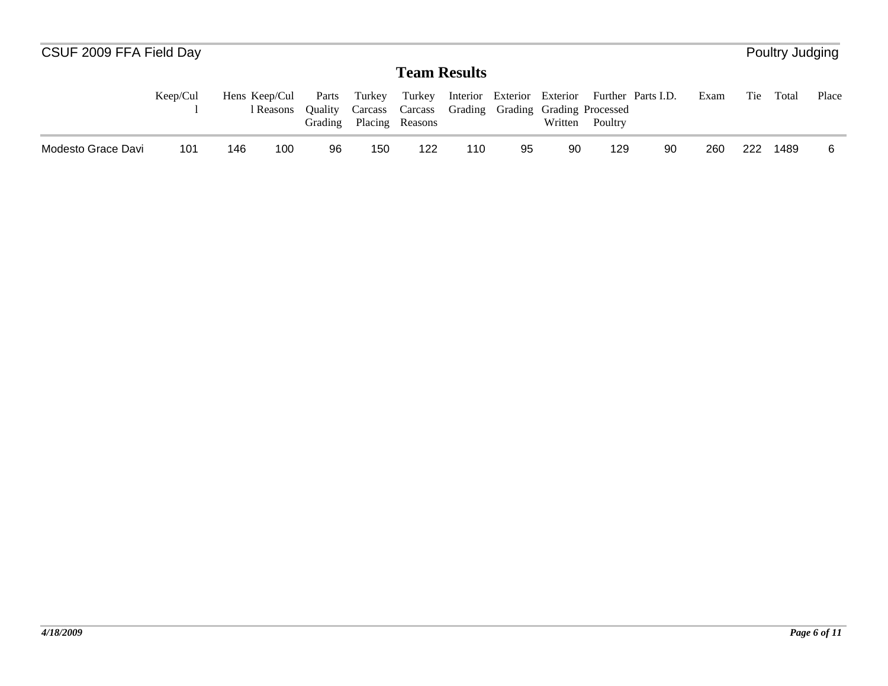|                    | CSUF 2009 FFA Field Day<br>Poultry Judging |               |           |                                    |        |                                                                      |     |    |         |         |                                                      |      |     |       |       |
|--------------------|--------------------------------------------|---------------|-----------|------------------------------------|--------|----------------------------------------------------------------------|-----|----|---------|---------|------------------------------------------------------|------|-----|-------|-------|
|                    |                                            |               |           |                                    |        | <b>Team Results</b>                                                  |     |    |         |         |                                                      |      |     |       |       |
|                    | Keep/Cul                                   | Hens Keep/Cul | l Reasons | Parts<br><b>Ouality</b><br>Grading | Turkey | Carcass Carcass Grading Grading Grading Processed<br>Placing Reasons |     |    | Written | Poultry | Turkey Interior Exterior Exterior Further Parts I.D. | Exam | Tie | Total | Place |
| Modesto Grace Davi | 101                                        | 146           | 100       | 96                                 | 150    | 122                                                                  | 110 | 95 | 90      | 129     | 90                                                   | 260  | 222 | 1489  |       |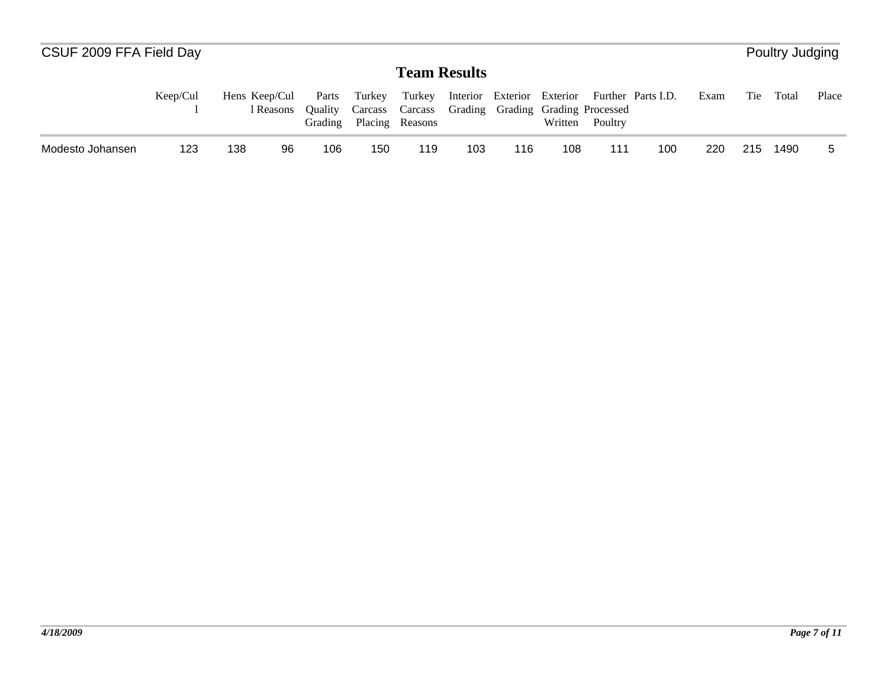| CSUF 2009 FFA Field Day |          |               |           |                                    |        |                                                                                |     |                            |         |         |                    |      |     | Poultry Judging |       |
|-------------------------|----------|---------------|-----------|------------------------------------|--------|--------------------------------------------------------------------------------|-----|----------------------------|---------|---------|--------------------|------|-----|-----------------|-------|
|                         |          |               |           |                                    |        | <b>Team Results</b>                                                            |     |                            |         |         |                    |      |     |                 |       |
|                         | Keep/Cul | Hens Keep/Cul | l Reasons | Parts<br><b>Ouality</b><br>Grading | Turkey | Turkey<br>Carcass Carcass Grading Grading Grading Processed<br>Placing Reasons |     | Interior Exterior Exterior | Written | Poultry | Further Parts I.D. | Exam | Tie | Total           | Place |
| Modesto Johansen        | 123      | 138           | 96        | 106                                | 150    | 119                                                                            | 103 | 116                        | 108     | 111     | 100                | 220  | 215 | 1490            |       |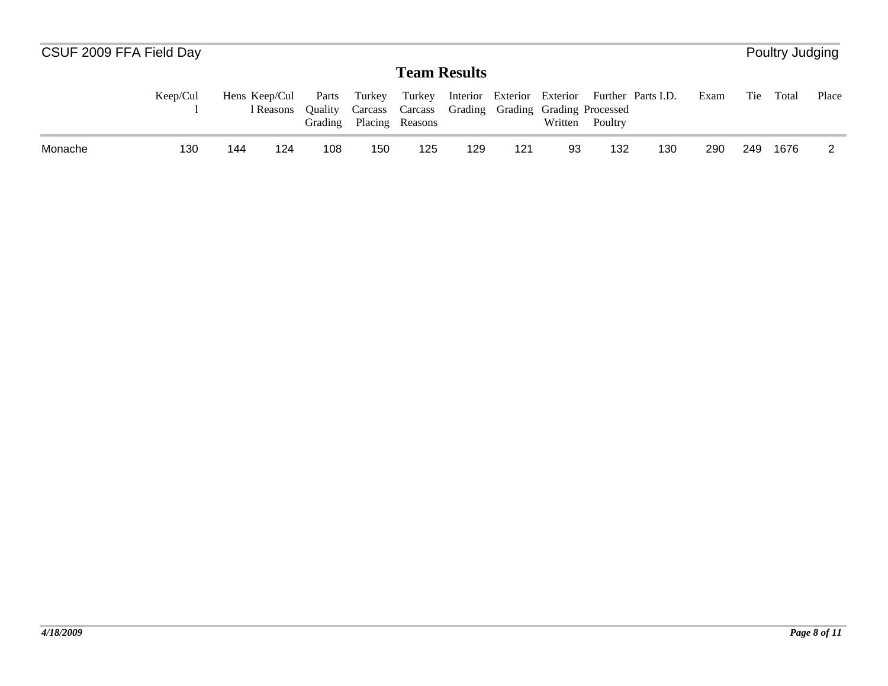| CSUF 2009 FFA Field Day |          |     |                            |                             |        |                                                                                |     |     |                                                          |         |     |      |     | Poultry Judging |       |
|-------------------------|----------|-----|----------------------------|-----------------------------|--------|--------------------------------------------------------------------------------|-----|-----|----------------------------------------------------------|---------|-----|------|-----|-----------------|-------|
|                         |          |     |                            |                             |        | <b>Team Results</b>                                                            |     |     |                                                          |         |     |      |     |                 |       |
|                         | Keep/Cul |     | Hens Keep/Cul<br>l Reasons | Parts<br>Ouality<br>Grading | Turkey | Turkey<br>Carcass Carcass Grading Grading Grading Processed<br>Placing Reasons |     |     | Interior Exterior Exterior Further Parts I.D.<br>Written | Poultry |     | Exam | Tie | Total           | Place |
| Monache                 | 130      | 144 | 124                        | 108                         | 150    | 125                                                                            | 129 | 121 | 93                                                       | 132     | 130 | 290  | 249 | 1676            |       |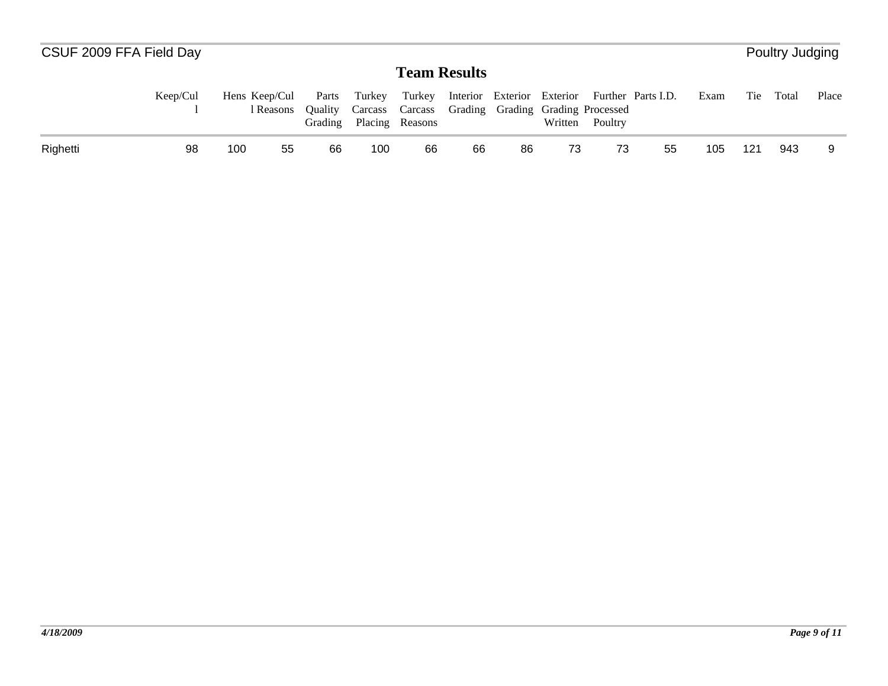| CSUF 2009 FFA Field Day |          |               |           |                             |        |                                                                                |    |                            |         |         |                    |      |     | Poultry Judging |       |
|-------------------------|----------|---------------|-----------|-----------------------------|--------|--------------------------------------------------------------------------------|----|----------------------------|---------|---------|--------------------|------|-----|-----------------|-------|
|                         |          |               |           |                             |        | <b>Team Results</b>                                                            |    |                            |         |         |                    |      |     |                 |       |
|                         | Keep/Cul | Hens Keep/Cul | 1 Reasons | Parts<br>Ouality<br>Grading | Turkey | Turkey<br>Carcass Carcass Grading Grading Grading Processed<br>Placing Reasons |    | Interior Exterior Exterior | Written | Poultry | Further Parts I.D. | Exam | Tie | Total           | Place |
| Righetti                | 98       | 100           | 55        | 66                          | 100    | 66                                                                             | 66 | 86                         | 73      | 73      | 55                 | 105  | 121 | 943             |       |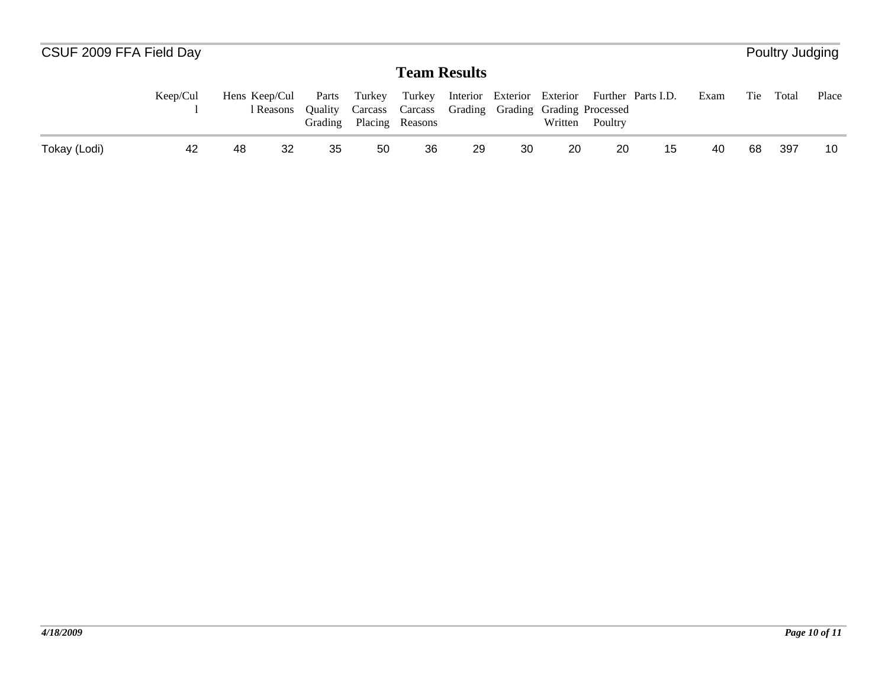| CSUF 2009 FFA Field Day |          |               |           |                             |        |                                                                                |    |                            |         |         |                    |      |     | Poultry Judging |       |
|-------------------------|----------|---------------|-----------|-----------------------------|--------|--------------------------------------------------------------------------------|----|----------------------------|---------|---------|--------------------|------|-----|-----------------|-------|
|                         |          |               |           |                             |        | <b>Team Results</b>                                                            |    |                            |         |         |                    |      |     |                 |       |
|                         | Keep/Cul | Hens Keep/Cul | l Reasons | Parts<br>Ouality<br>Grading | Turkey | Turkey<br>Carcass Carcass Grading Grading Grading Processed<br>Placing Reasons |    | Interior Exterior Exterior | Written | Poultry | Further Parts I.D. | Exam | Tie | Total           | Place |
| Tokay (Lodi)            | 42       | 48            | -32       | 35                          | 50     | 36                                                                             | 29 | 30                         | 20      | 20      | 15                 | 40   | 68  | 397             | 10    |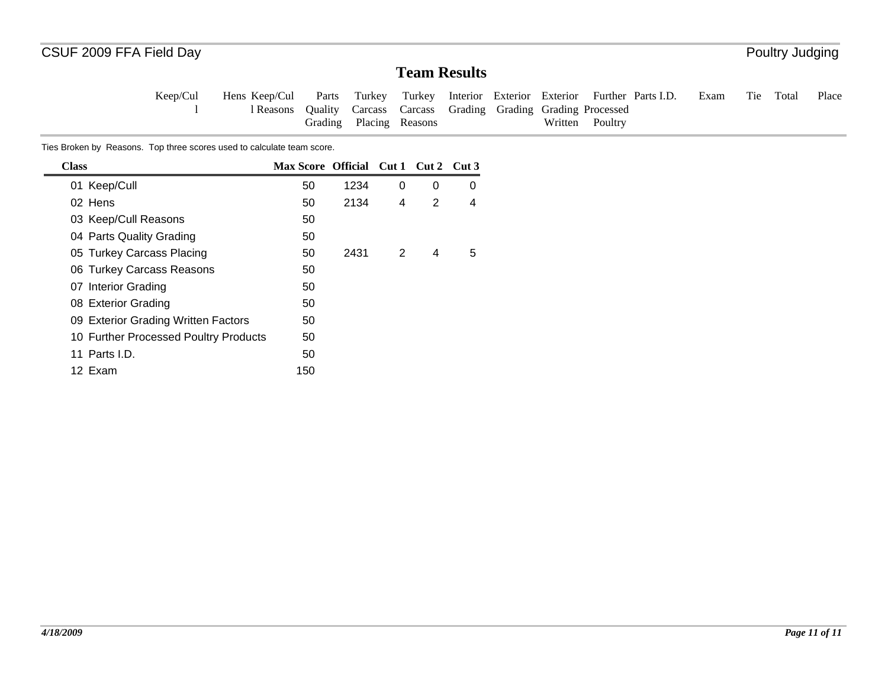#### **Team Results**

Tie Total Place Keep/Cul l Hens Keep/Cul l ReasonsParts Quality Grading Turkey Carcass Carcass Placing Reasons Turkey Interior Exterior Exterior Further Parts I.D. ExamGrading Grading Grading Processed Written Poultry

Ties Broken by Reasons. Top three scores used to calculate team score.

| <b>Class</b>                          | Max Score Official Cut 1 Cut 2 Cut 3 |      |   |   |   |
|---------------------------------------|--------------------------------------|------|---|---|---|
| 01 Keep/Cull                          | 50                                   | 1234 | 0 | 0 | 0 |
| 02 Hens                               | 50                                   | 2134 | 4 | 2 | 4 |
| 03 Keep/Cull Reasons                  | 50                                   |      |   |   |   |
| 04 Parts Quality Grading              | 50                                   |      |   |   |   |
| 05 Turkey Carcass Placing             | 50                                   | 2431 | 2 | 4 | 5 |
| 06 Turkey Carcass Reasons             | 50                                   |      |   |   |   |
| 07 Interior Grading                   | 50                                   |      |   |   |   |
| 08 Exterior Grading                   | 50                                   |      |   |   |   |
| 09 Exterior Grading Written Factors   | 50                                   |      |   |   |   |
| 10 Further Processed Poultry Products | 50                                   |      |   |   |   |
| 11 Parts I.D.                         | 50                                   |      |   |   |   |
| 12 Exam                               | 150                                  |      |   |   |   |
|                                       |                                      |      |   |   |   |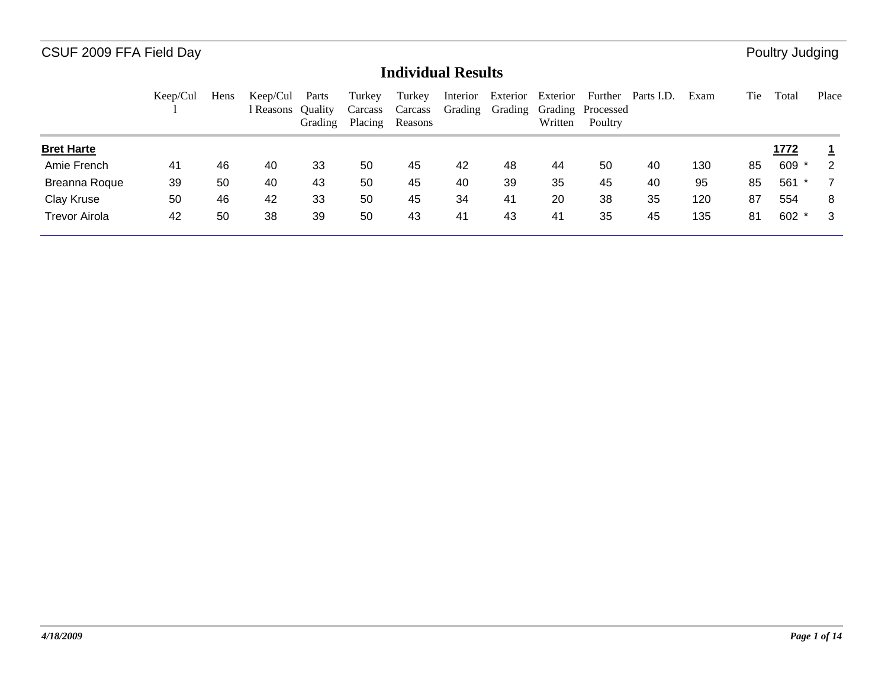|                      | Keep/Cul | Hens | Keep/Cul<br>l Reasons | Parts<br><b>Ouality</b><br>Grading | Turkey<br>Carcass<br>Placing | Turkey<br>Carcass<br>Reasons | Interior<br>Grading | Exterior<br>Grading | Exterior<br>Written | Further<br>Grading Processed<br>Poultry | Parts I.D. | Exam | Tie | Total       | Place |
|----------------------|----------|------|-----------------------|------------------------------------|------------------------------|------------------------------|---------------------|---------------------|---------------------|-----------------------------------------|------------|------|-----|-------------|-------|
| <b>Bret Harte</b>    |          |      |                       |                                    |                              |                              |                     |                     |                     |                                         |            |      |     | <u>1772</u> |       |
| Amie French          | 41       | 46   | 40                    | 33                                 | 50                           | 45                           | 42                  | 48                  | 44                  | 50                                      | 40         | 130  | 85  | $609 *$     | 2     |
| Breanna Roque        | 39       | 50   | 40                    | 43                                 | 50                           | 45                           | 40                  | 39                  | 35                  | 45                                      | 40         | 95   | 85  | 561         |       |
| Clay Kruse           | 50       | 46   | 42                    | 33                                 | 50                           | 45                           | 34                  | 41                  | 20                  | 38                                      | 35         | 120  | 87  | 554         | 8     |
| <b>Trevor Airola</b> | 42       | 50   | 38                    | 39                                 | 50                           | 43                           | 41                  | 43                  | 41                  | 35                                      | 45         | 135  | 81  | $602 *$     | -3    |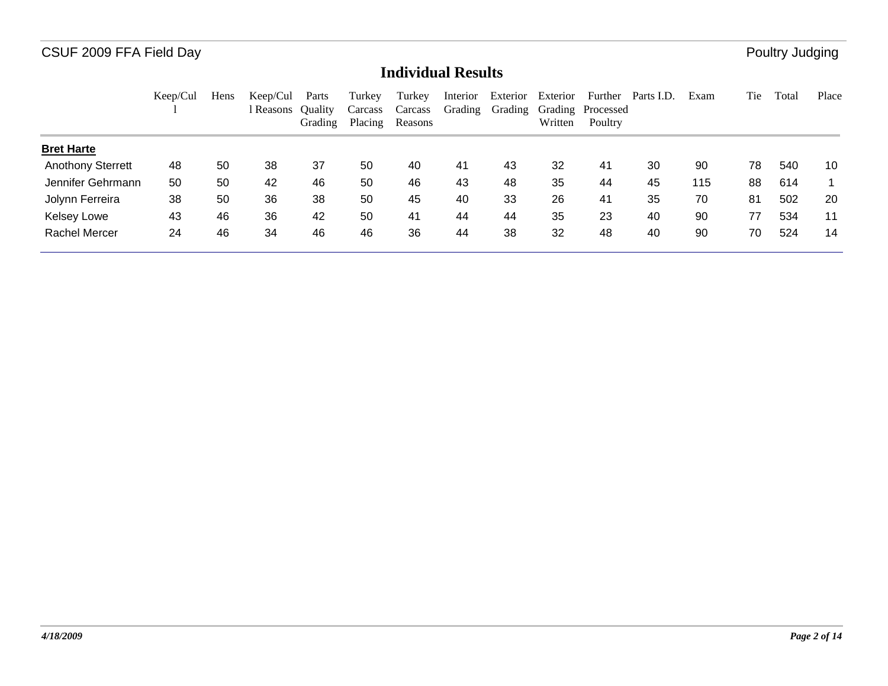|                          | Keep/Cul | Hens | Keep/Cul<br>l Reasons | Parts<br><b>Ouality</b><br>Grading | Turkey<br>Carcass<br>Placing | Turkey<br>Carcass<br>Reasons | Interior<br>Grading | Exterior<br>Grading | Exterior<br>Written | Further<br>Grading Processed<br>Poultry | Parts I.D. | Exam | Tie | Total | Place |
|--------------------------|----------|------|-----------------------|------------------------------------|------------------------------|------------------------------|---------------------|---------------------|---------------------|-----------------------------------------|------------|------|-----|-------|-------|
| <b>Bret Harte</b>        |          |      |                       |                                    |                              |                              |                     |                     |                     |                                         |            |      |     |       |       |
| <b>Anothony Sterrett</b> | 48       | 50   | 38                    | 37                                 | 50                           | 40                           | 41                  | 43                  | 32                  | 41                                      | 30         | 90   | 78  | 540   | 10    |
| Jennifer Gehrmann        | 50       | 50   | 42                    | 46                                 | 50                           | 46                           | 43                  | 48                  | 35                  | 44                                      | 45         | 115  | 88  | 614   |       |
| Jolynn Ferreira          | 38       | 50   | 36                    | 38                                 | 50                           | 45                           | 40                  | 33                  | 26                  | 41                                      | 35         | 70   | 81  | 502   | 20    |
| <b>Kelsey Lowe</b>       | 43       | 46   | 36                    | 42                                 | 50                           | 41                           | 44                  | 44                  | 35                  | 23                                      | 40         | 90   | 77  | 534   | 11    |
| <b>Rachel Mercer</b>     | 24       | 46   | 34                    | 46                                 | 46                           | 36                           | 44                  | 38                  | 32                  | 48                                      | 40         | 90   | 70  | 524   | 14    |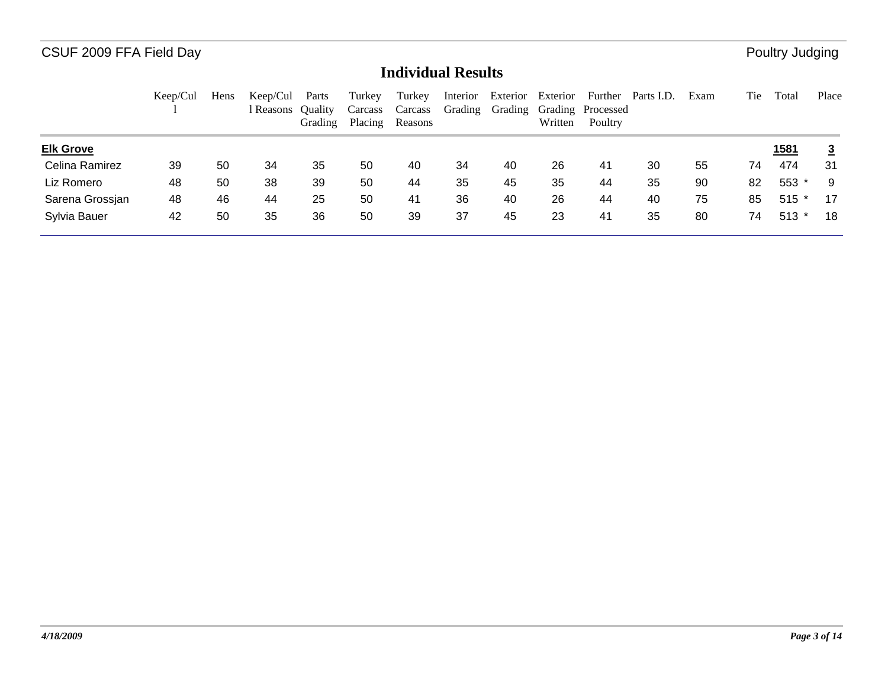|                  | Keep/Cul | Hens | Keep/Cul<br>l Reasons | Parts<br><b>Ouality</b><br>Grading | Turkey<br>Carcass<br>Placing | Turkey<br>Carcass<br>Reasons | Interior<br>Grading | Exterior<br>Grading | Exterior<br>Written | Further<br>Grading Processed<br>Poultry | Parts I.D. | Exam | Tie | Total        | Place          |
|------------------|----------|------|-----------------------|------------------------------------|------------------------------|------------------------------|---------------------|---------------------|---------------------|-----------------------------------------|------------|------|-----|--------------|----------------|
| <b>Elk Grove</b> |          |      |                       |                                    |                              |                              |                     |                     |                     |                                         |            |      |     | <u> 1581</u> | $\overline{3}$ |
| Celina Ramirez   | 39       | 50   | 34                    | 35                                 | 50                           | 40                           | 34                  | 40                  | 26                  | 41                                      | 30         | 55   | 74  | 474          | 31             |
| Liz Romero       | 48       | 50   | 38                    | 39                                 | 50                           | 44                           | 35                  | 45                  | 35                  | 44                                      | 35         | 90   | 82  | 553          | 9              |
| Sarena Grossjan  | 48       | 46   | 44                    | 25                                 | 50                           | 41                           | 36                  | 40                  | 26                  | 44                                      | 40         | 75   | 85  | $515$ *      | 17             |
| Sylvia Bauer     | 42       | 50   | 35                    | 36                                 | 50                           | 39                           | 37                  | 45                  | 23                  | 41                                      | 35         | 80   | 74  | $513$ *      | 18             |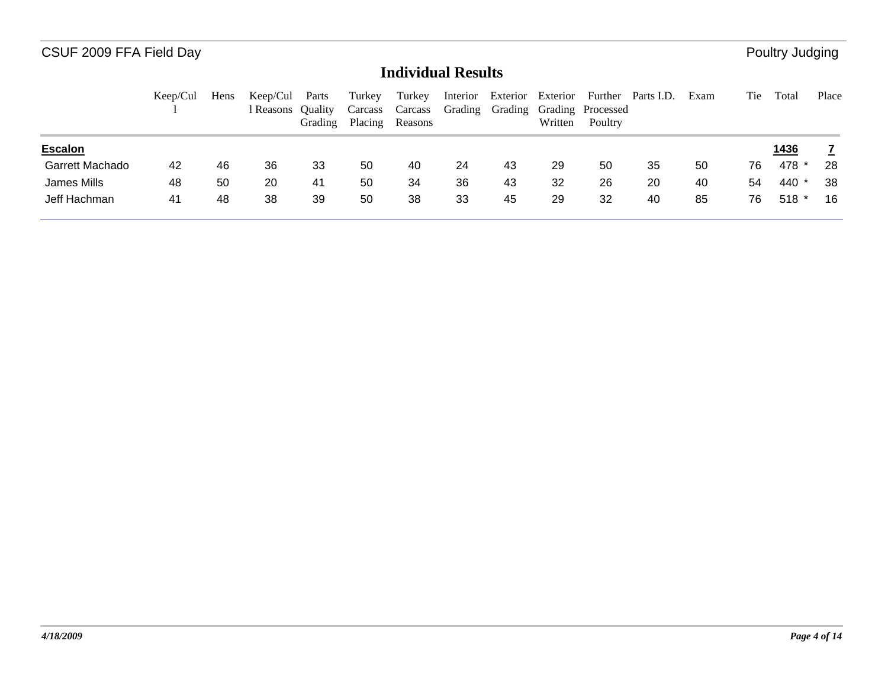|                        | Keep/Cul | Hens | Keep/Cul<br>l Reasons Ouality | Parts<br>Grading | Turkey<br>Carcass<br>Placing | Turkey<br>Carcass<br>Reasons | Interior<br>Grading | Exterior<br>Grading | Exterior<br>Written | Grading Processed<br>Poultry | Further Parts I.D. | Exam | Tie | Total         | Place |
|------------------------|----------|------|-------------------------------|------------------|------------------------------|------------------------------|---------------------|---------------------|---------------------|------------------------------|--------------------|------|-----|---------------|-------|
| <b>Escalon</b>         |          |      |                               |                  |                              |                              |                     |                     |                     |                              |                    |      |     | <u> 1436 </u> |       |
| <b>Garrett Machado</b> | 42       | 46   | 36                            | 33               | 50                           | 40                           | 24                  | 43                  | 29                  | 50                           | 35                 | 50   | 76  | 478 *         | 28    |
| James Mills            | 48       | 50   | 20                            | 41               | 50                           | 34                           | 36                  | 43                  | 32                  | 26                           | 20                 | 40   | 54  | 440 *         | 38    |
| Jeff Hachman           | 41       | 48   | 38                            | 39               | 50                           | 38                           | 33                  | 45                  | 29                  | 32                           | 40                 | 85   | 76  | $518*$        | 16    |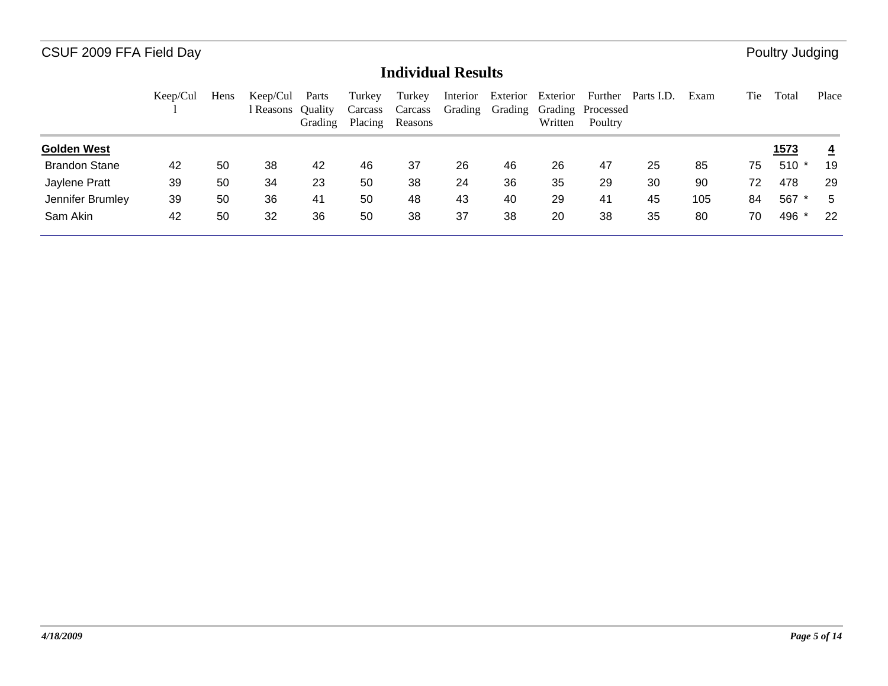|                      | Keep/Cul | Hens | Keep/Cul<br>r Reasons | Parts<br><b>Ouality</b><br>Grading | Turkey<br>Carcass<br>Placing | Turkey<br>Carcass<br>Reasons | Interior<br>Grading | Exterior<br>Grading | Exterior<br>Written | Further<br>Grading Processed<br>Poultry | Parts I.D. | Exam | Tie | Total         | Place          |
|----------------------|----------|------|-----------------------|------------------------------------|------------------------------|------------------------------|---------------------|---------------------|---------------------|-----------------------------------------|------------|------|-----|---------------|----------------|
| <b>Golden West</b>   |          |      |                       |                                    |                              |                              |                     |                     |                     |                                         |            |      |     | <u> 1573 </u> | $\overline{4}$ |
| <b>Brandon Stane</b> | 42       | 50   | 38                    | 42                                 | 46                           | 37                           | 26                  | 46                  | 26                  | 47                                      | 25         | 85   | 75  | $510*$        | 19             |
| Jaylene Pratt        | 39       | 50   | 34                    | 23                                 | 50                           | 38                           | 24                  | 36                  | 35                  | 29                                      | 30         | 90   | 72  | 478           | 29             |
| Jennifer Brumley     | 39       | 50   | 36                    | 41                                 | 50                           | 48                           | 43                  | 40                  | 29                  | 41                                      | 45         | 105  | 84  | 567           | 5              |
| Sam Akin             | 42       | 50   | 32                    | 36                                 | 50                           | 38                           | 37                  | 38                  | 20                  | 38                                      | 35         | 80   | 70  | 496 *         | 22             |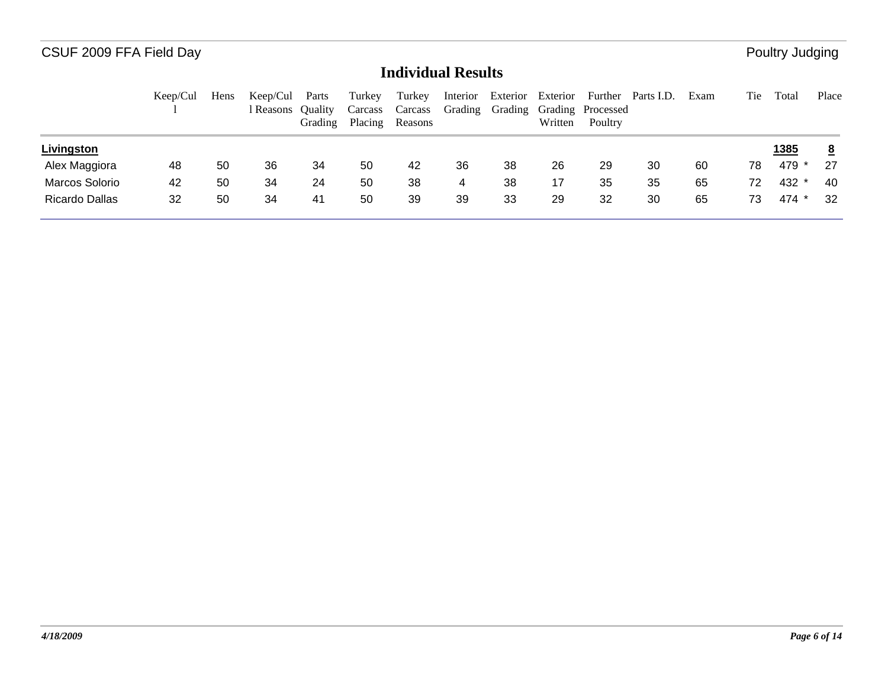|                | Keep/Cul | Hens | Keep/Cul<br>Reasons Ouality | Parts<br>Grading | Turkey<br>Carcass<br>Placing | Turkey<br>Carcass<br>Reasons | Interior | Exterior Exterior | Written | Grading Grading Grading Processed<br>Poultry | Further Parts I.D. | Exam | Tie | Total        | Place           |
|----------------|----------|------|-----------------------------|------------------|------------------------------|------------------------------|----------|-------------------|---------|----------------------------------------------|--------------------|------|-----|--------------|-----------------|
| Livingston     |          |      |                             |                  |                              |                              |          |                   |         |                                              |                    |      |     | <u> 1385</u> | $\underline{8}$ |
| Alex Maggiora  | 48       | 50   | 36                          | 34               | 50                           | 42                           | 36       | 38                | 26      | 29                                           | 30                 | 60   | 78  | 479          | 27              |
| Marcos Solorio | 42       | 50   | 34                          | 24               | 50                           | 38                           | 4        | 38                | 17      | 35                                           | 35                 | 65   | 72  | 432 *        | 40              |
| Ricardo Dallas | 32       | 50   | 34                          | 41               | 50                           | 39                           | 39       | 33                | 29      | 32                                           | 30                 | 65   | 73  | 474 *        | 32              |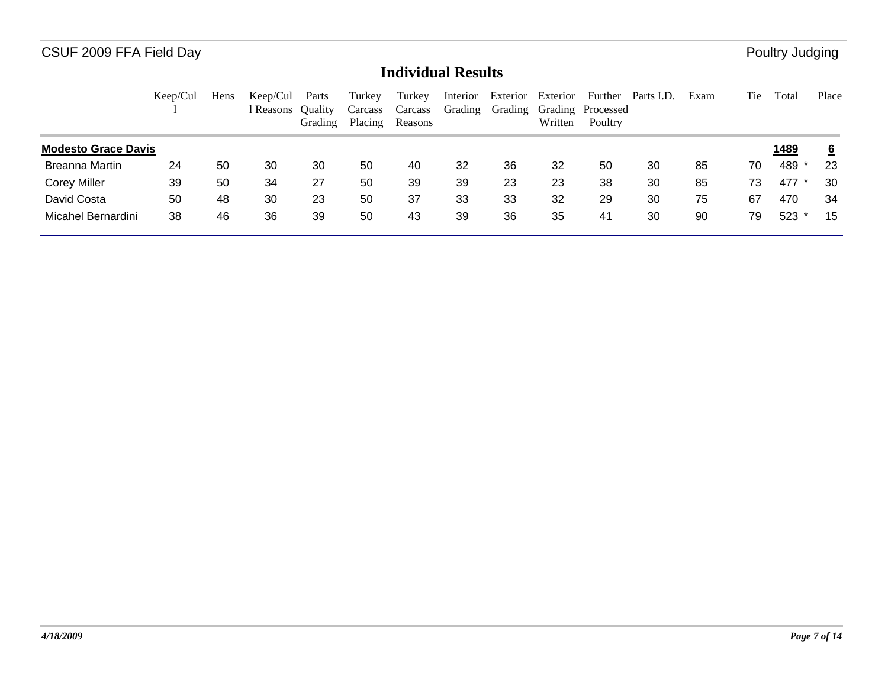|                            | Keep/Cul | Hens | Keep/Cul<br>l Reasons Ouality | Parts<br>Grading | Turkey<br>Carcass<br>Placing | Turkey<br>Carcass<br>Reasons | Interior<br>Grading | Exterior<br>Grading | Exterior<br>Written | Further<br>Grading Processed<br>Poultry | Parts I.D. | Exam | Tie | Total        | Place           |
|----------------------------|----------|------|-------------------------------|------------------|------------------------------|------------------------------|---------------------|---------------------|---------------------|-----------------------------------------|------------|------|-----|--------------|-----------------|
| <b>Modesto Grace Davis</b> |          |      |                               |                  |                              |                              |                     |                     |                     |                                         |            |      |     | <u> 1489</u> | $6\overline{6}$ |
| <b>Breanna Martin</b>      | 24       | 50   | 30                            | 30               | 50                           | 40                           | 32                  | 36                  | 32                  | 50                                      | 30         | 85   | 70  | 489          | 23              |
| <b>Corey Miller</b>        | 39       | 50   | 34                            | 27               | 50                           | 39                           | 39                  | 23                  | 23                  | 38                                      | 30         | 85   | 73  | 477          | 30              |
| David Costa                | 50       | 48   | 30                            | 23               | 50                           | 37                           | 33                  | 33                  | 32                  | 29                                      | 30         | 75   | 67  | 470          | 34              |
| Micahel Bernardini         | 38       | 46   | 36                            | 39               | 50                           | 43                           | 39                  | 36                  | 35                  | 41                                      | 30         | 90   | 79  | 523          | 15              |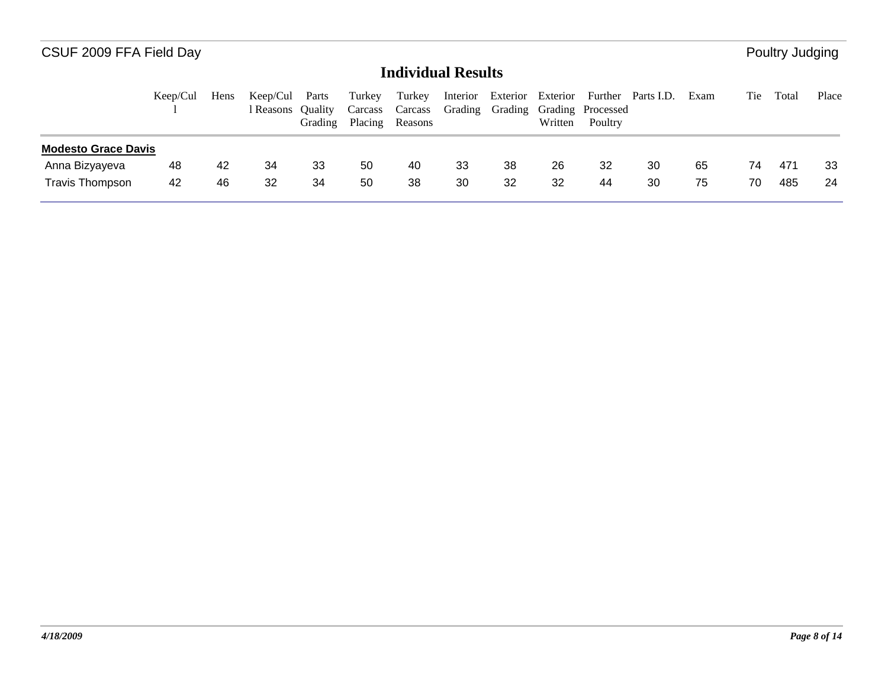|                            | Keep/Cul | Hens | Keep/Cul<br>l Reasons Ouality | Parts<br>Grading | Turkey<br>Carcass<br>Placing | Turkey<br>Carcass<br>Reasons | Interior |    | Written | Exterior Exterior Further Parts I.D.<br>Grading Grading Grading Processed<br>Poultry |    | Exam | Tie | Total | Place |
|----------------------------|----------|------|-------------------------------|------------------|------------------------------|------------------------------|----------|----|---------|--------------------------------------------------------------------------------------|----|------|-----|-------|-------|
| <b>Modesto Grace Davis</b> |          |      |                               |                  |                              |                              |          |    |         |                                                                                      |    |      |     |       |       |
| Anna Bizyayeva             | 48       | 42   | 34                            | 33               | 50                           | 40                           | 33       | 38 | 26      | 32                                                                                   | 30 | 65   | 74  | 471   | 33    |
| <b>Travis Thompson</b>     | 42       | 46   | 32                            | 34               | 50                           | 38                           | 30       | 32 | 32      | 44                                                                                   | 30 | 75   | 70  | 485   | -24   |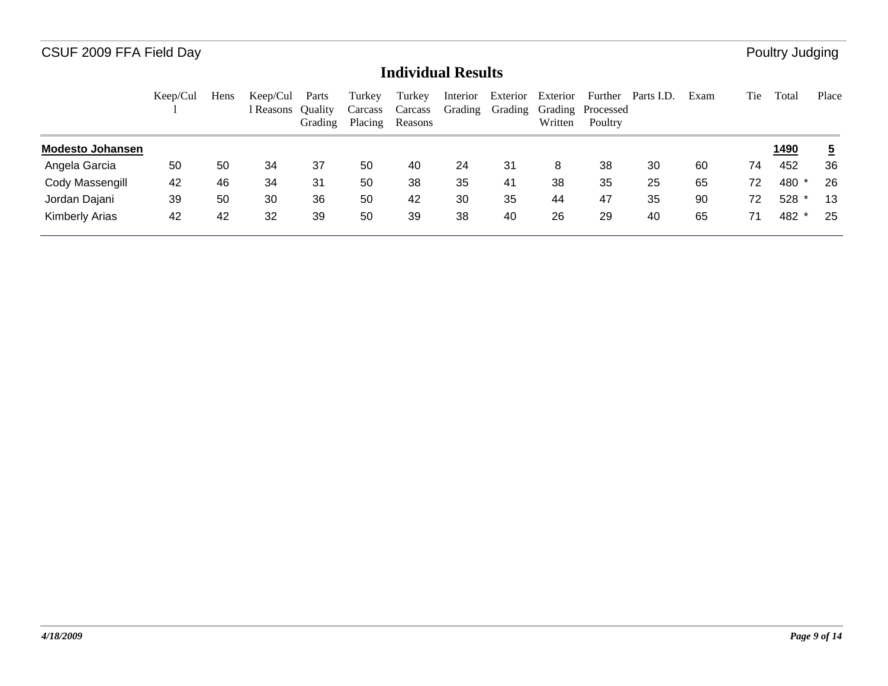|                         | Keep/Cul | Hens | Keep/Cul<br>l Reasons | Parts<br><b>Ouality</b><br>Grading | Turkey<br>Carcass<br>Placing | Turkey<br>Carcass<br>Reasons | Interior<br>Grading | Exterior<br>Grading | Exterior<br>Written | Further<br>Grading Processed<br>Poultry | Parts I.D. | Exam | Tie | Total        | Place          |
|-------------------------|----------|------|-----------------------|------------------------------------|------------------------------|------------------------------|---------------------|---------------------|---------------------|-----------------------------------------|------------|------|-----|--------------|----------------|
| <b>Modesto Johansen</b> |          |      |                       |                                    |                              |                              |                     |                     |                     |                                         |            |      |     | <u> 1490</u> | $\overline{5}$ |
| Angela Garcia           | 50       | 50   | 34                    | 37                                 | 50                           | 40                           | 24                  | 31                  | 8                   | 38                                      | 30         | 60   | 74  | 452          | 36             |
| Cody Massengill         | 42       | 46   | 34                    | 31                                 | 50                           | 38                           | 35                  | 41                  | 38                  | 35                                      | 25         | 65   | 72  | 480          | 26             |
| Jordan Dajani           | 39       | 50   | 30                    | 36                                 | 50                           | 42                           | 30                  | 35                  | 44                  | 47                                      | 35         | 90   | 72  | 528          | 13             |
| <b>Kimberly Arias</b>   | 42       | 42   | 32                    | 39                                 | 50                           | 39                           | 38                  | 40                  | 26                  | 29                                      | 40         | 65   | 71  | 482 *        | 25             |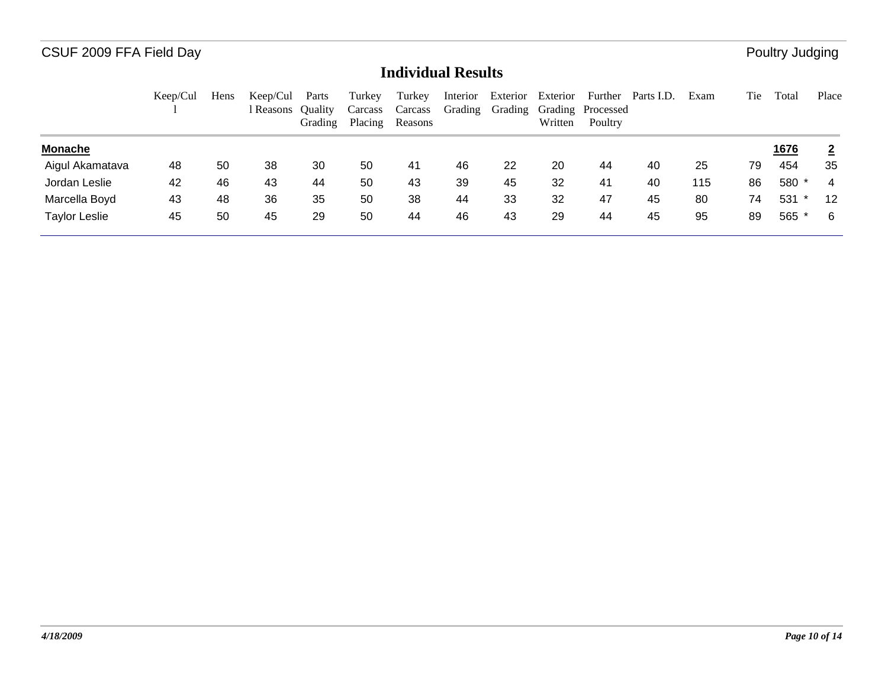|                      | Keep/Cul | Hens | Keep/Cul<br>l Reasons | Parts<br><b>Ouality</b><br>Grading | Turkey<br>Carcass<br>Placing | Turkey<br>Carcass<br>Reasons | Interior<br>Grading | Exterior<br>Grading | Exterior<br>Written | Grading Processed<br>Poultry | Further Parts I.D. | Exam | Tie | Total       | Place          |
|----------------------|----------|------|-----------------------|------------------------------------|------------------------------|------------------------------|---------------------|---------------------|---------------------|------------------------------|--------------------|------|-----|-------------|----------------|
| <b>Monache</b>       |          |      |                       |                                    |                              |                              |                     |                     |                     |                              |                    |      |     | <u>1676</u> | $\overline{2}$ |
| Aigul Akamatava      | 48       | 50   | 38                    | 30                                 | 50                           | 41                           | 46                  | 22                  | 20                  | 44                           | 40                 | 25   | 79  | 454         | 35             |
| Jordan Leslie        | 42       | 46   | 43                    | 44                                 | 50                           | 43                           | 39                  | 45                  | 32                  | 41                           | 40                 | 115  | 86  | 580 *       | 4              |
| Marcella Boyd        | 43       | 48   | 36                    | 35                                 | 50                           | 38                           | 44                  | 33                  | 32                  | 47                           | 45                 | 80   | 74  | 531         | 12             |
| <b>Taylor Leslie</b> | 45       | 50   | 45                    | 29                                 | 50                           | 44                           | 46                  | 43                  | 29                  | 44                           | 45                 | 95   | 89  | 565 *       | -6             |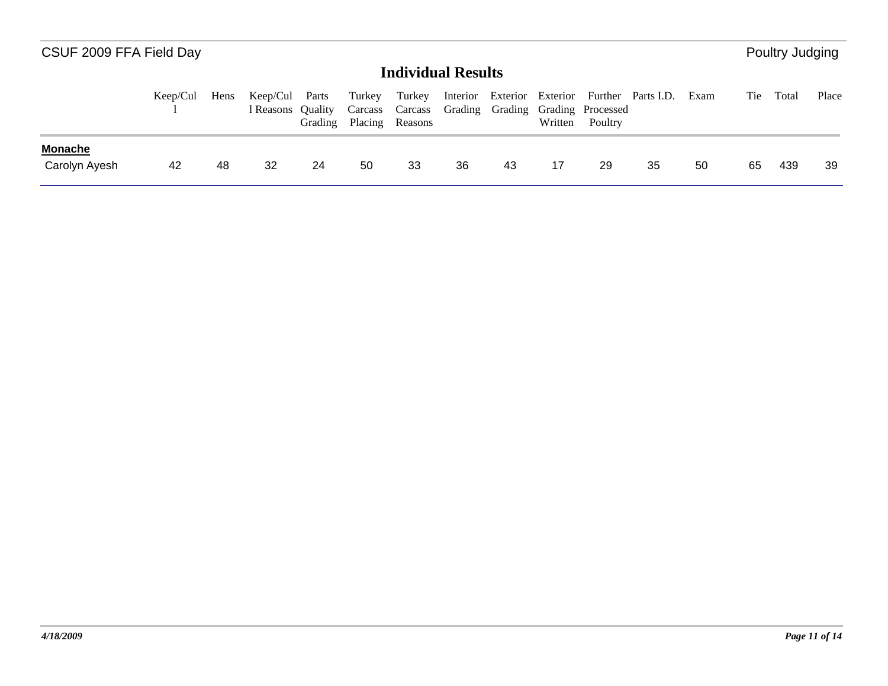|                                 | Keep/Cul | Hens | Keep/Cul Parts<br>l Reasons Ouality | Grading | Turkey | Turkey<br>Placing Reasons |    |    | Written | Carcass Carcass Grading Grading Grading Processed<br>Poultry | Interior Exterior Exterior Further Parts I.D. | Exam | Tie | Total | Place |
|---------------------------------|----------|------|-------------------------------------|---------|--------|---------------------------|----|----|---------|--------------------------------------------------------------|-----------------------------------------------|------|-----|-------|-------|
| <b>Monache</b><br>Carolyn Ayesh | 42       | 48   | 32                                  | 24      | 50     | 33                        | 36 | 43 | 17      | 29                                                           | 35                                            | 50   | 65  | 439   | 39    |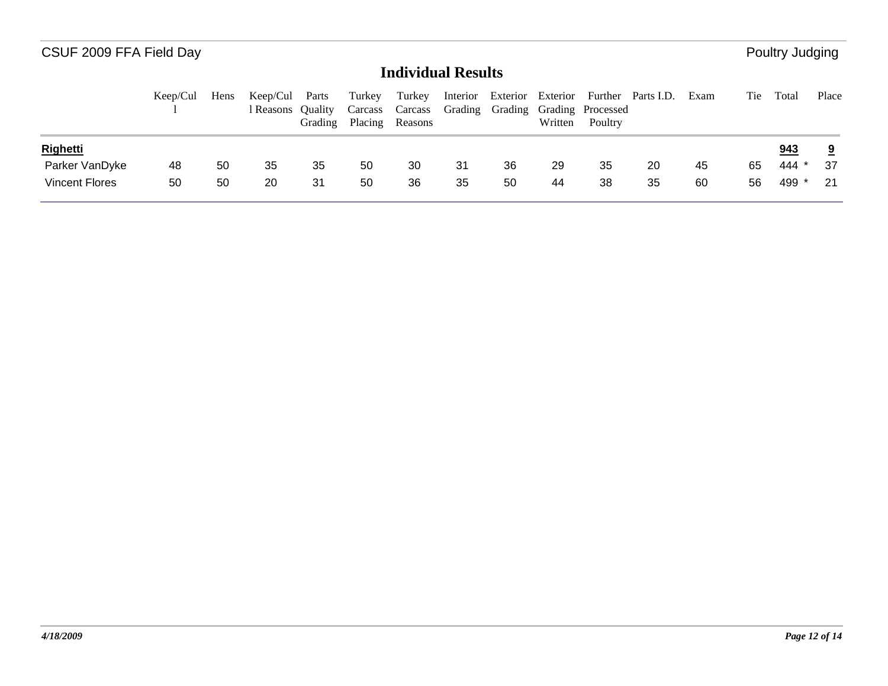|                       | Keep/Cul | Hens | Keep/Cul Parts<br>Reasons Ouality | Grading | Turkey<br>Placing | Turkey<br>Carcass Carcass Grading Grading Grading Processed<br>Reasons |     |    | Written | Poultry | Interior Exterior Exterior Further Parts I.D. | Exam | Tie | Total | Place |
|-----------------------|----------|------|-----------------------------------|---------|-------------------|------------------------------------------------------------------------|-----|----|---------|---------|-----------------------------------------------|------|-----|-------|-------|
| <b>Righetti</b>       |          |      |                                   |         |                   |                                                                        |     |    |         |         |                                               |      |     | 943   |       |
| Parker VanDyke        | 48       | 50   | 35                                | 35      | 50                | 30                                                                     | -31 | 36 | 29      | 35      | 20                                            | 45   | 65  | 444 * | -37   |
| <b>Vincent Flores</b> | 50       | 50   | 20                                | 31      | 50                | 36                                                                     | 35  | 50 | 44      | 38      | 35                                            | 60   | 56  | 499 * | 21    |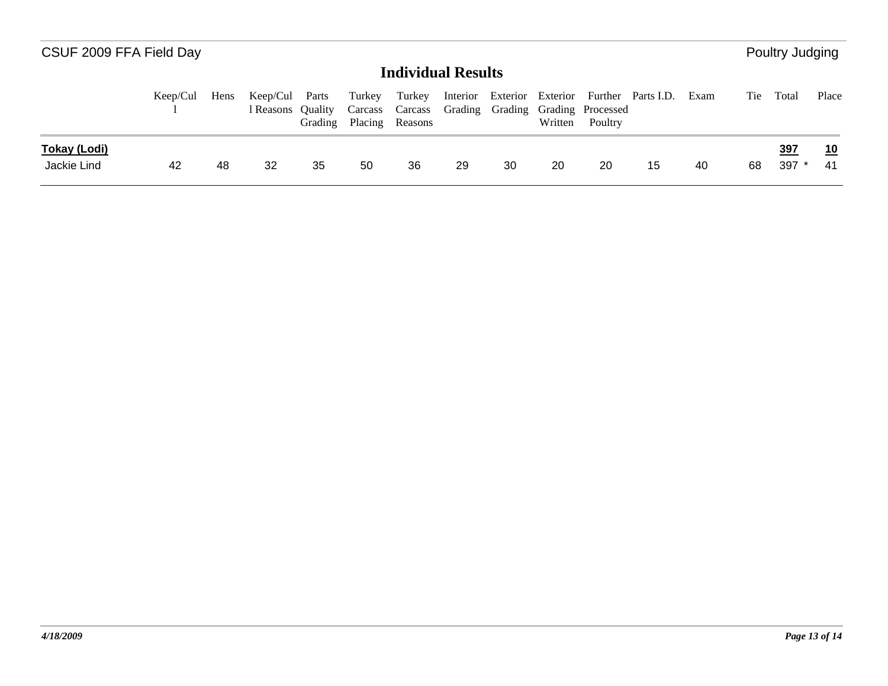|                                    | Keep/Cul | Hens | Keep/Cul Parts<br>l Reasons | <b>Ouality</b><br>Grading | Turkey | Turkey<br>Placing Reasons |    |    | Written | Carcass Carcass Grading Grading Grading Processed<br>Poultry | Interior Exterior Exterior Further Parts I.D. | Exam | Tie | Total                 | Place    |
|------------------------------------|----------|------|-----------------------------|---------------------------|--------|---------------------------|----|----|---------|--------------------------------------------------------------|-----------------------------------------------|------|-----|-----------------------|----------|
| <b>Tokay (Lodi)</b><br>Jackie Lind | 42       | -48  | 32                          | 35                        | 50     | 36                        | 29 | 30 | 20      | 20                                                           | 15                                            | -40  | 68  | <u>397</u><br>$397$ * | 10<br>41 |